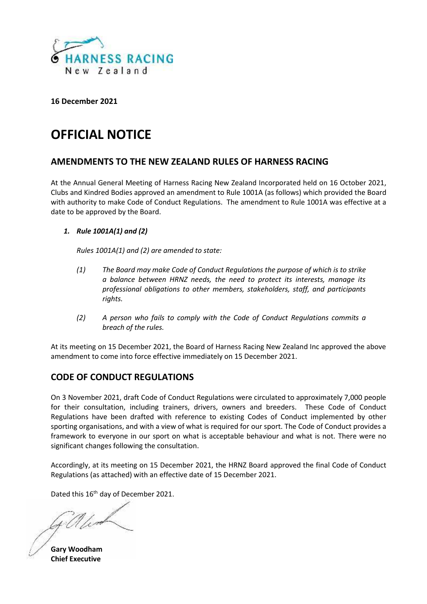

# **OFFICIAL NOTICE**

# **AMENDMENTS TO THE NEW ZEALAND RULES OF HARNESS RACING**

At the Annual General Meeting of Harness Racing New Zealand Incorporated held on 16 October 2021, Clubs and Kindred Bodies approved an amendment to Rule 1001A (as follows) which provided the Board with authority to make Code of Conduct Regulations. The amendment to Rule 1001A was effective at a date to be approved by the Board.

# *1. Rule 1001A(1) and (2)*

*Rules 1001A(1) and (2) are amended to state:*

- *(1) The Board may make Code of Conduct Regulations the purpose of which is to strike a balance between HRNZ needs, the need to protect its interests, manage its professional obligations to other members, stakeholders, staff, and participants rights.*
- *(2) A person who fails to comply with the Code of Conduct Regulations commits a breach of the rules.*

At its meeting on 15 December 2021, the Board of Harness Racing New Zealand Inc approved the above amendment to come into force effective immediately on 15 December 2021.

# **CODE OF CONDUCT REGULATIONS**

On 3 November 2021, draft Code of Conduct Regulations were circulated to approximately 7,000 people for their consultation, including trainers, drivers, owners and breeders. These Code of Conduct Regulations have been drafted with reference to existing Codes of Conduct implemented by other sporting organisations, and with a view of what is required for our sport. The Code of Conduct provides a framework to everyone in our sport on what is acceptable behaviour and what is not. There were no significant changes following the consultation.

Accordingly, at its meeting on 15 December 2021, the HRNZ Board approved the final Code of Conduct Regulations (as attached) with an effective date of 15 December 2021.

Dated this 16<sup>th</sup> day of December 2021.

**Gary Woodham Chief Executive**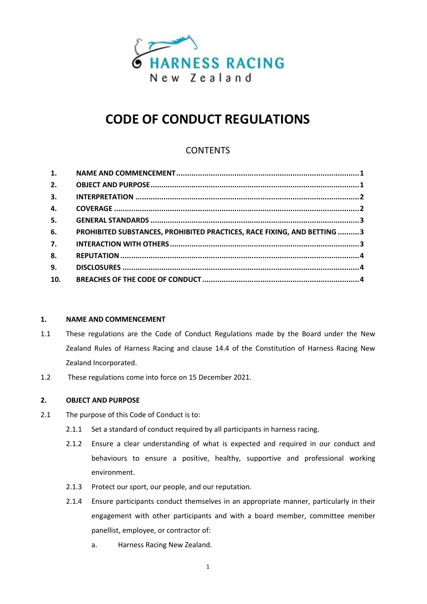

# **CODE OF CONDUCT REGULATIONS**

# **CONTENTS**

| 1.  |                                                                         |  |
|-----|-------------------------------------------------------------------------|--|
| 2.  |                                                                         |  |
| 3.  |                                                                         |  |
| 4.  |                                                                         |  |
| 5.  |                                                                         |  |
| 6.  | PROHIBITED SUBSTANCES, PROHIBITED PRACTICES, RACE FIXING, AND BETTING 3 |  |
| 7.  |                                                                         |  |
| 8.  |                                                                         |  |
| 9.  |                                                                         |  |
| 10. |                                                                         |  |

# <span id="page-1-0"></span>**1. NAME AND COMMENCEMENT**

- 1.1 These regulations are the Code of Conduct Regulations made by the Board under the New Zealand Rules of Harness Racing and clause 14.4 of the Constitution of Harness Racing New Zealand Incorporated.
- 1.2 These regulations come into force on 15 December 2021.

## <span id="page-1-1"></span>**2. OBJECT AND PURPOSE**

- 2.1 The purpose of this Code of Conduct is to:
	- 2.1.1 Set a standard of conduct required by all participants in harness racing.
	- 2.1.2 Ensure a clear understanding of what is expected and required in our conduct and behaviours to ensure a positive, healthy, supportive and professional working environment.
	- 2.1.3 Protect our sport, our people, and our reputation.
	- 2.1.4 Ensure participants conduct themselves in an appropriate manner, particularly in their engagement with other participants and with a board member, committee member panellist, employee, or contractor of:
		- a. Harness Racing New Zealand.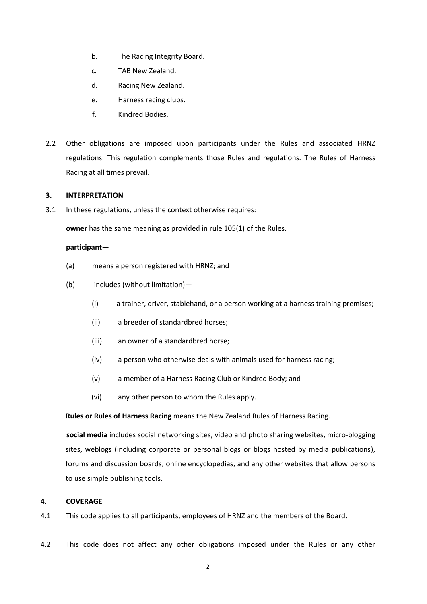- b. The Racing Integrity Board.
- c. TAB New Zealand.
- d. Racing New Zealand.
- e. Harness racing clubs.
- f. Kindred Bodies.
- 2.2 Other obligations are imposed upon participants under the Rules and associated HRNZ regulations. This regulation complements those Rules and regulations. The Rules of Harness Racing at all times prevail.

#### <span id="page-2-0"></span>**3. INTERPRETATION**

3.1 In these regulations, unless the context otherwise requires:

**owner** has the same meaning as provided in rule 105(1) of the Rules**.**

#### **participant**—

- (a) means a person registered with HRNZ; and
- (b) includes (without limitation)—
	- (i) a trainer, driver, stablehand, or a person working at a harness training premises;
	- (ii) a breeder of standardbred horses;
	- (iii) an owner of a standardbred horse;
	- (iv) a person who otherwise deals with animals used for harness racing;
	- (v) a member of a Harness Racing Club or Kindred Body; and
	- (vi) any other person to whom the Rules apply.

**Rules or Rules of Harness Racing** means the New Zealand Rules of Harness Racing.

**social media** includes social networking sites, video and photo sharing websites, micro-blogging sites, weblogs (including corporate or personal blogs or blogs hosted by media publications), forums and discussion boards, online encyclopedias, and any other websites that allow persons to use simple publishing tools.

#### <span id="page-2-1"></span>**4. COVERAGE**

- 4.1 This code applies to all participants, employees of HRNZ and the members of the Board.
- 4.2 This code does not affect any other obligations imposed under the Rules or any other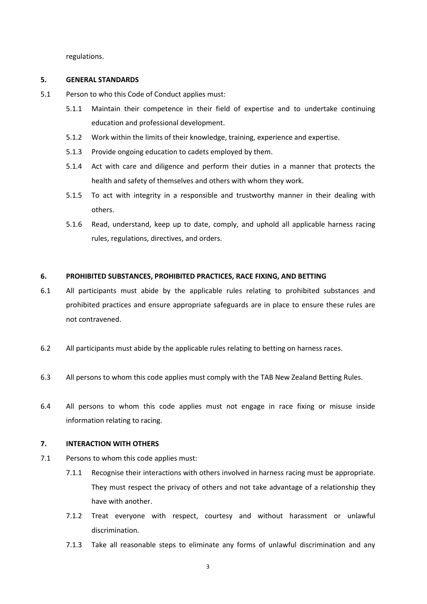regulations.

## <span id="page-3-0"></span>**5. GENERAL STANDARDS**

- 5.1 Person to who this Code of Conduct applies must:
	- 5.1.1 Maintain their competence in their field of expertise and to undertake continuing education and professional development.
	- 5.1.2 Work within the limits of their knowledge, training, experience and expertise.
	- 5.1.3 Provide ongoing education to cadets employed by them.
	- 5.1.4 Act with care and diligence and perform their duties in a manner that protects the health and safety of themselves and others with whom they work.
	- 5.1.5 To act with integrity in a responsible and trustworthy manner in their dealing with others.
	- 5.1.6 Read, understand, keep up to date, comply, and uphold all applicable harness racing rules, regulations, directives, and orders.

## <span id="page-3-1"></span>**6. PROHIBITED SUBSTANCES, PROHIBITED PRACTICES, RACE FIXING, AND BETTING**

- 6.1 All participants must abide by the applicable rules relating to prohibited substances and prohibited practices and ensure appropriate safeguards are in place to ensure these rules are not contravened.
- 6.2 All participants must abide by the applicable rules relating to betting on harness races.
- 6.3 All persons to whom this code applies must comply with the TAB New Zealand Betting Rules.
- 6.4 All persons to whom this code applies must not engage in race fixing or misuse inside information relating to racing.

## <span id="page-3-2"></span>**7. INTERACTION WITH OTHERS**

- 7.1 Persons to whom this code applies must:
	- 7.1.1 Recognise their interactions with others involved in harness racing must be appropriate. They must respect the privacy of others and not take advantage of a relationship they have with another.
	- 7.1.2 Treat everyone with respect, courtesy and without harassment or unlawful discrimination.
	- 7.1.3 Take all reasonable steps to eliminate any forms of unlawful discrimination and any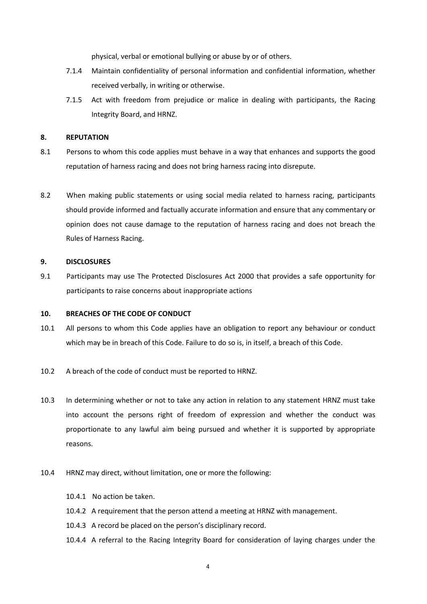physical, verbal or emotional bullying or abuse by or of others.

- 7.1.4 Maintain confidentiality of personal information and confidential information, whether received verbally, in writing or otherwise.
- 7.1.5 Act with freedom from prejudice or malice in dealing with participants, the Racing Integrity Board, and HRNZ.

#### <span id="page-4-0"></span>**8. REPUTATION**

- 8.1 Persons to whom this code applies must behave in a way that enhances and supports the good reputation of harness racing and does not bring harness racing into disrepute.
- 8.2 When making public statements or using social media related to harness racing, participants should provide informed and factually accurate information and ensure that any commentary or opinion does not cause damage to the reputation of harness racing and does not breach the Rules of Harness Racing.

#### <span id="page-4-1"></span>**9. DISCLOSURES**

9.1 Participants may use The Protected Disclosures Act 2000 that provides a safe opportunity for participants to raise concerns about inappropriate actions

### <span id="page-4-2"></span>**10. BREACHES OF THE CODE OF CONDUCT**

- 10.1 All persons to whom this Code applies have an obligation to report any behaviour or conduct which may be in breach of this Code. Failure to do so is, in itself, a breach of this Code.
- 10.2 A breach of the code of conduct must be reported to HRNZ.
- 10.3 In determining whether or not to take any action in relation to any statement HRNZ must take into account the persons right of freedom of expression and whether the conduct was proportionate to any lawful aim being pursued and whether it is supported by appropriate reasons.
- 10.4 HRNZ may direct, without limitation, one or more the following:
	- 10.4.1 No action be taken.
	- 10.4.2 A requirement that the person attend a meeting at HRNZ with management.
	- 10.4.3 A record be placed on the person's disciplinary record.
	- 10.4.4 A referral to the Racing Integrity Board for consideration of laying charges under the